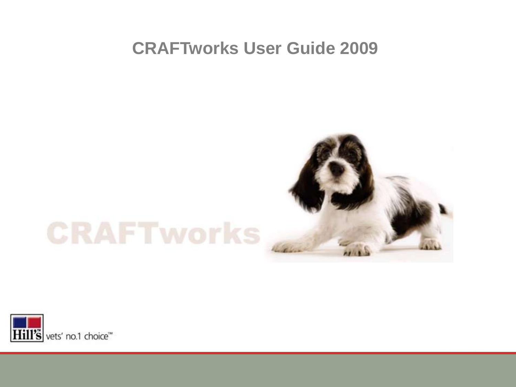#### **CRAFTworks User Guide 2009**

# **CRAFTworks**



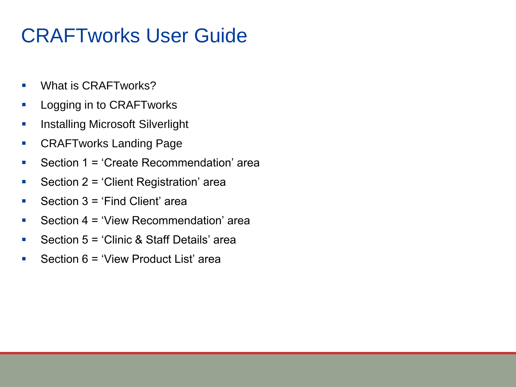# CRAFTworks User Guide

- **What is CRAFTworks?**
- **Logging in to CRAFTworks**
- **Installing Microsoft Silverlight**
- **CRAFTworks Landing Page**
- Section  $1 = 'Create Recommendation' area$
- Section  $2 = 'Client$  Registration' area
- Section  $3 = 'Find Client' area$
- Section  $4 = 'View$  Recommendation' area
- Section 5 = 'Clinic & Staff Details' area
- Section  $6 = 'View$  Product List' area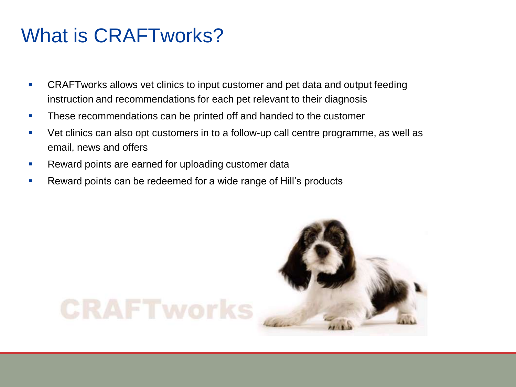### What is CRAFTworks?

- **CRAFTworks allows vet clinics to input customer and pet data and output feeding** instruction and recommendations for each pet relevant to their diagnosis
- **These recommendations can be printed off and handed to the customer**
- Vet clinics can also opt customers in to a follow-up call centre programme, as well as email, news and offers
- **Reward points are earned for uploading customer data**
- **Reward points can be redeemed for a wide range of Hill's products**

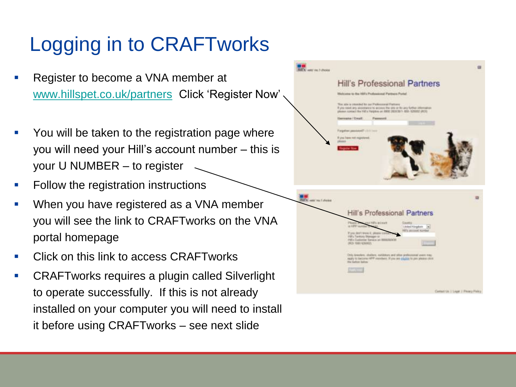# Logging in to CRAFTworks

- Register to become a VNA member at [www.hillspet.co.uk/partners](http://www.hillspet.co.uk/partners) Click 'Register Now'
- You will be taken to the registration page where you will need your Hill's account number – this is your U NUMBER – to register
- Follow the registration instructions
- When you have registered as a VNA member you will see the link to CRAFTworks on the VNA portal homepage
- Click on this link to access CRAFTworks
- CRAFTworks requires a plugin called Silverlight to operate successfully. If this is not already installed on your computer you will need to install it before using CRAFTworks – see next slide

| <b>BECK</b> vehr zw. 1 choice |                                                                                                                                                                                                    |  |
|-------------------------------|----------------------------------------------------------------------------------------------------------------------------------------------------------------------------------------------------|--|
|                               | <b>Hill's Professional Partners</b>                                                                                                                                                                |  |
|                               | Welcome to the 1973 Professional Partners Portal                                                                                                                                                   |  |
|                               | This adv is younded to per Padeconnel Fishions<br>If you need any assetsore to account the site of fix any further interestion.<br>please consei the HIEV Helphie or DEE 2830351- 853-52022 (403). |  |
|                               | <b>Hamsama / Entail</b><br><b>Fascanced</b>                                                                                                                                                        |  |
|                               | Finigatives presidentif chick (most                                                                                                                                                                |  |
|                               | Esta have not registered.<br>please)                                                                                                                                                               |  |
|                               |                                                                                                                                                                                                    |  |
|                               |                                                                                                                                                                                                    |  |
|                               |                                                                                                                                                                                                    |  |
|                               |                                                                                                                                                                                                    |  |
|                               |                                                                                                                                                                                                    |  |
|                               |                                                                                                                                                                                                    |  |
| Hal's vest no Liberal         |                                                                                                                                                                                                    |  |
|                               | Hill's Professional Partners                                                                                                                                                                       |  |
|                               | say Hills actions<br>Phoenix<br>Looms.                                                                                                                                                             |  |
|                               | to 1997 aurolise<br>United Kingdom<br><b>NEW ARTISTIC RD</b><br>Parts deal wear it, please and                                                                                                     |  |
|                               | Hill's Tankero Blueager or<br>FM's Comese Sance of NEEDERYN<br>(ROLTER KING)                                                                                                                       |  |
|                               |                                                                                                                                                                                                    |  |
|                               | Only takeders, shallers, exhibiting and other professional space may.<br>reply 10 believe HFP maintains. If you are eligible to per yearse close<br>the ketter leating                             |  |
|                               | <b>CONTENT</b>                                                                                                                                                                                     |  |
|                               |                                                                                                                                                                                                    |  |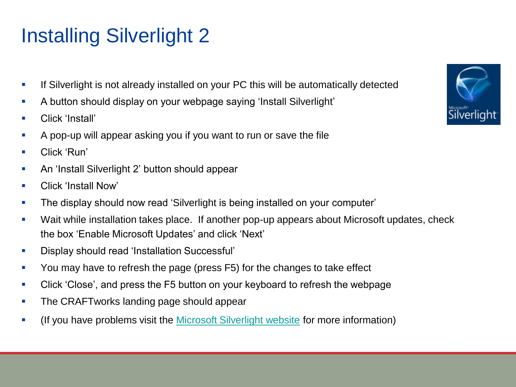# Installing Silverlight 2

- **If Silverlight is not already installed on your PC this will be automatically detected**
- A button should display on your webpage saying 'Install Silverlight'
- **Click 'Install'**
- A pop-up will appear asking you if you want to run or save the file
- **Click 'Run'**
- An 'Install Silverlight 2' button should appear
- **E** Click 'Install Now'
- The display should now read 'Silverlight is being installed on your computer'
- Wait while installation takes place. If another pop-up appears about Microsoft updates, check the box 'Enable Microsoft Updates' and click 'Next'
- Display should read 'Installation Successful'
- You may have to refresh the page (press F5) for the changes to take effect
- Click 'Close', and press the F5 button on your keyboard to refresh the webpage
- **The CRAFTworks landing page should appear**
- (If you have problems visit the [Microsoft Silverlight](http://www.microsoft.com/silverlight/) [website](http://www.microsoft.com/silverlight/) for more information)

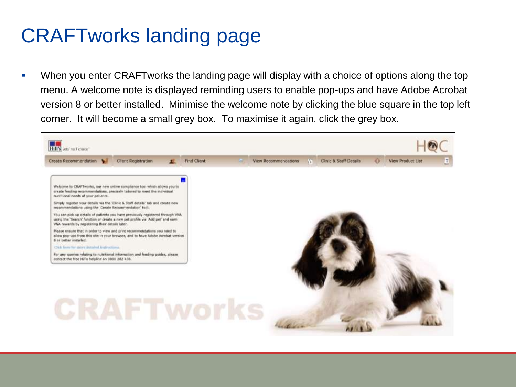# CRAFTworks landing page

 When you enter CRAFTworks the landing page will display with a choice of options along the top menu. A welcome note is displayed reminding users to enable pop-ups and have Adobe Acrobat version 8 or better installed. Minimise the welcome note by clicking the blue square in the top left corner. It will become a small grey box. To maximise it again, click the grey box.

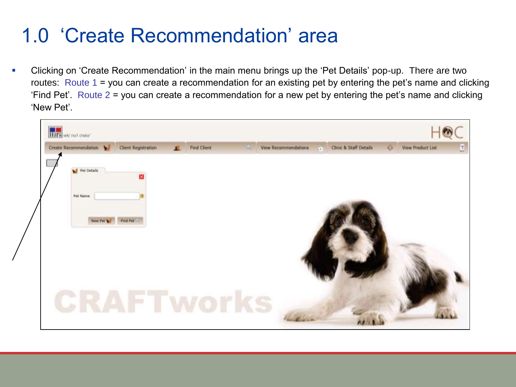# 1.0 'Create Recommendation' area

 Clicking on 'Create Recommendation' in the main menu brings up the 'Pet Details' pop-up. There are two routes: Route 1 = you can create a recommendation for an existing pet by entering the pet's name and clicking 'Find Pet'. Route 2 = you can create a recommendation for a new pet by entering the pet's name and clicking 'New Pet'.

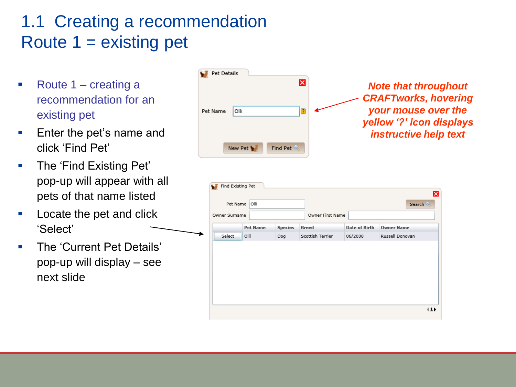#### 1.1 Creating a recommendation Route 1 = existing pet

- Route  $1 -$  creating a recommendation for an existing pet
- **Enter the pet's name and** click 'Find Pet'
- **The 'Find Existing Pet'** pop-up will appear with all pets of that name listed
- **Locate the pet and click** 'Select'
- **The 'Current Pet Details'** pop-up will display – see next slide

| Pet Details<br>$\overline{\mathsf{x}}$<br>Olli<br>Pet Name | <b>Note that throughout</b><br><b>CRAFTworks, hovering</b><br>your mouse over the<br>yellow '?' icon displays<br>instructive help text |
|------------------------------------------------------------|----------------------------------------------------------------------------------------------------------------------------------------|
| Find Pet<br>New Pet                                        |                                                                                                                                        |

| Pet Name      | Find Existing Pet<br>Olli |                |                                  |                      | Search            |  |
|---------------|---------------------------|----------------|----------------------------------|----------------------|-------------------|--|
| Owner Surname | <b>Pet Name</b>           | <b>Species</b> | Owner First Name<br><b>Breed</b> | <b>Date of Birth</b> | <b>Owner Name</b> |  |
| Select        | Olli                      | Dog            | Scottish Terrier                 | 06/2008              | Russell Donovan   |  |
|               |                           |                |                                  |                      |                   |  |
|               |                           |                |                                  |                      |                   |  |
|               |                           |                |                                  |                      |                   |  |
|               |                           |                |                                  |                      |                   |  |
|               |                           |                |                                  |                      |                   |  |
|               |                           |                |                                  |                      |                   |  |
|               |                           |                |                                  |                      |                   |  |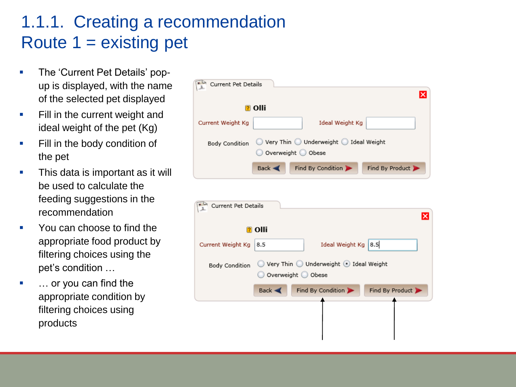#### 1.1.1. Creating a recommendation Route  $1 =$  existing pet

- The 'Current Pet Details' popup is displayed, with the name of the selected pet displayed
- **Fill in the current weight and** ideal weight of the pet (Kg)
- **Fill in the body condition of** the pet
- This data is important as it will be used to calculate the feeding suggestions in the recommendation
- You can choose to find the appropriate food product by filtering choices using the pet's condition …
- … or you can find the appropriate condition by filtering choices using products

| Current Pet Details   |                                                                                                       | ×               |
|-----------------------|-------------------------------------------------------------------------------------------------------|-----------------|
|                       | <b>n</b> Olli                                                                                         |                 |
| Current Weight Kg     | Ideal Weight Kg                                                                                       |                 |
| <b>Body Condition</b> | $\supset$ Very Thin $\bigcirc$ Underweight $\bigcirc$ Ideal Weight<br>Overweight O Obese              |                 |
|                       | Find By Condition<br>Back <                                                                           | Find By Product |
| Current Pet Details   | <mark>?</mark> Olli                                                                                   | ×ı              |
| Current Weight Kg     | Ideal Weight Kg   8.5<br>8.5                                                                          |                 |
| Body Condition        | $\circledcirc$ Very Thin $\circledcirc$ Underweight $\circledcirc$ Ideal Weight<br>Overweight O Obese |                 |
|                       | Find By Condition<br>Back <                                                                           | Find By Product |
|                       |                                                                                                       |                 |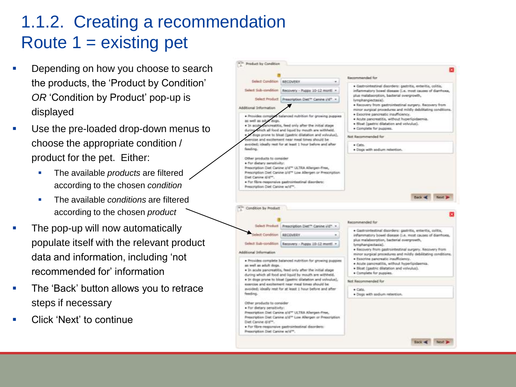#### 1.1.2. Creating a recommendation Route  $1 =$  existing pet

- Depending on how you choose to search the products, the 'Product by Condition' *OR* 'Condition by Product' pop-up is displayed
- Use the pre-loaded drop-down menus to choose the appropriate condition / product for the pet. Either:
	- The available *products* are filtered according to the chosen *condition*
	- **The available** *conditions* are filtered according to the chosen *product*
- The pop-up will now automatically populate itself with the relevant product data and information, including 'not recommended for' information
- The 'Back' button allows you to retrace steps if necessary
- Click 'Next' to continue

![](_page_9_Figure_8.jpeg)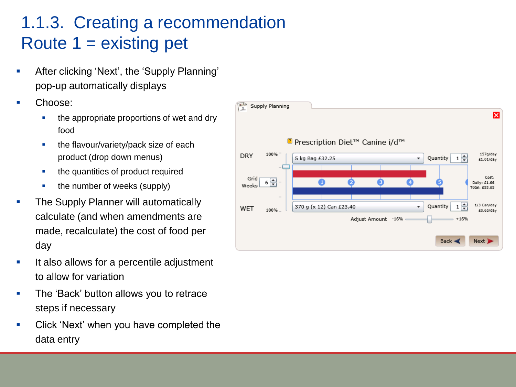#### 1.1.3. Creating a recommendation Route  $1 =$  existing pet

- **After clicking 'Next', the 'Supply Planning'** pop-up automatically displays
- Choose:
	- the appropriate proportions of wet and dry food
	- the flavour/variety/pack size of each product (drop down menus)
	- the quantities of product required
	- the number of weeks (supply)
- The Supply Planner will automatically calculate (and when amendments are made, recalculate) the cost of food per day
- **If also allows for a percentile adjustment** to allow for variation
- **The 'Back' button allows you to retrace** steps if necessary
- **EXECLICE** Click 'Next' when you have completed the data entry

![](_page_10_Figure_11.jpeg)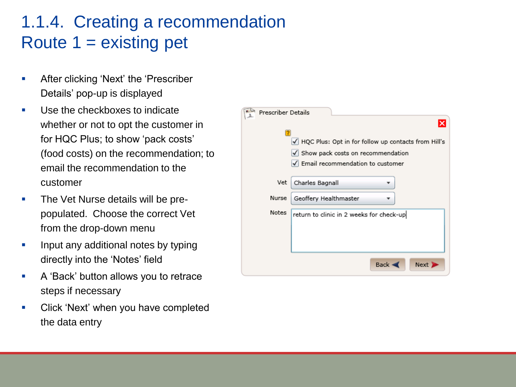#### 1.1.4. Creating a recommendation Route  $1 =$  existing pet

- **After clicking 'Next' the 'Prescriber'** Details' pop-up is displayed
- Use the checkboxes to indicate whether or not to opt the customer in for HQC Plus; to show 'pack costs' (food costs) on the recommendation; to email the recommendation to the customer
- **The Vet Nurse details will be pre**populated. Choose the correct Vet from the drop-down menu
- **Input any additional notes by typing** directly into the 'Notes' field
- **A** 'Back' button allows you to retrace steps if necessary
- Click 'Next' when you have completed the data entry

![](_page_11_Picture_7.jpeg)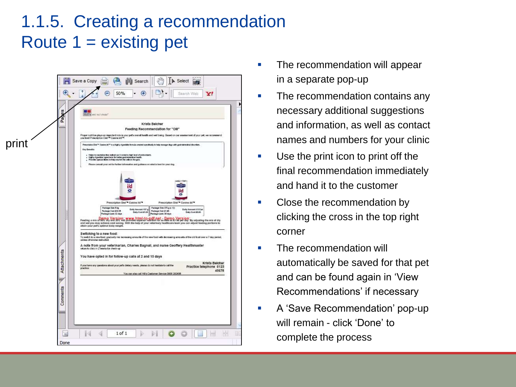#### 1.1.5. Creating a recommendation Route  $1 =$  existing pet

|       | es<br>Page   | <b>STEP</b><br>Hill's set not more?                                                                                                                                                                                                                                                                                                                                                                                                                                                                                                                                                                                                      |
|-------|--------------|------------------------------------------------------------------------------------------------------------------------------------------------------------------------------------------------------------------------------------------------------------------------------------------------------------------------------------------------------------------------------------------------------------------------------------------------------------------------------------------------------------------------------------------------------------------------------------------------------------------------------------------|
|       | <b>Salon</b> | Krista Belcher<br>Feeding Recommendation for "Olli"<br>Proper nutrition plays an important role in your pet's overall health and well being. Based on our assessment of your pet, we recommend<br>you lead Prescription Dert <sup>ha</sup> Canine 8d <sup>ras</sup> .                                                                                                                                                                                                                                                                                                                                                                    |
| print |              | Prescription Diet <sup>ro</sup> Canine (et <sup>ro</sup> is a highly digestible formula created specifically to belp manage dogs with gastrointestinal decreters.<br><b>Key Benefits</b><br>Helps to neutralise the radicals as it contains high level of anticulatets.<br>Highly digestible ingredients for better gastrointestinal health.<br>Provides special libres to help nourish the cells in the gass.<br>Please consult your vet for further information and guidance on what is best for your dog.                                                                                                                             |
|       |              | kα<br>ō                                                                                                                                                                                                                                                                                                                                                                                                                                                                                                                                                                                                                                  |
|       |              | Prescription Diet <sup>ra</sup> Canine int <sup>re</sup><br>Frescription Diet <sup>18</sup> Canine #d <sup>16</sup><br>Package Size 5 kg<br>Package Stor 370 g (x 12)<br>Daily Amount:157 g<br>Daily Areaust:5/3 Can<br>Package Cont £32.25<br>Paskage Cost #195<br>Daily Cost:\$1.01<br>Daly Cont 20.05<br>Package Lasts:32 days<br>Package Lasts 36 days<br>Feeding a mix a RBM By Ver Signing WWW. http://to-pdf.net - Demp Version By adjusting the mix of dry<br>and wet you may achieve cost saving. With the help of your veterinary healthcare team you can adjust feeding portions to<br>attain your pet's optimal body weight. |
|       |              | Switching to a new food:<br>To switch to a new food, gradually me increasing amounts of the new food with decreasing amounts of the old food over a 7 day period,<br>unless offerwise instructed.<br>A note from your veterinarian, Charles Bagnall, and nurse Geoffery Healthmaster<br>return to clinic in 2 weeks for check-up                                                                                                                                                                                                                                                                                                         |
|       | Attachments  | You have opted in for follow-up calls at 2 and 15 days<br>Krista Belcher<br>If you have any questions about your pet's dietary needs, please do not hesitate to call the<br>Practice telephone 0123<br>practice:<br>45678<br>You can also call Hill's Customer Service 0800 282438                                                                                                                                                                                                                                                                                                                                                       |
|       | Comments     |                                                                                                                                                                                                                                                                                                                                                                                                                                                                                                                                                                                                                                          |
|       |              |                                                                                                                                                                                                                                                                                                                                                                                                                                                                                                                                                                                                                                          |

- The recommendation will appear in a separate pop-up
- The recommendation contains any necessary additional suggestions and information, as well as contact names and numbers for your clinic
- Use the print icon to print off the final recommendation immediately and hand it to the customer
- Close the recommendation by clicking the cross in the top right corner
- **The recommendation will** automatically be saved for that pet and can be found again in 'View Recommendations' if necessary
- **A** 'Save Recommendation' pop-up will remain - click 'Done' to complete the process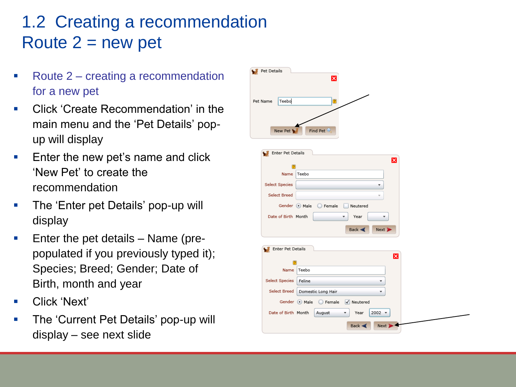#### 1.2 Creating a recommendation Route  $2 = new$  pet

- Route 2 creating a recommendation for a new pet
- Click 'Create Recommendation' in the main menu and the 'Pet Details' popup will display
- Enter the new pet's name and click 'New Pet' to create the recommendation
- **The 'Enter pet Details' pop-up will** display
- Enter the pet details Name (prepopulated if you previously typed it); Species; Breed; Gender; Date of Birth, month and year
- Click 'Next'
- The 'Current Pet Details' pop-up will display – see next slide

![](_page_13_Figure_8.jpeg)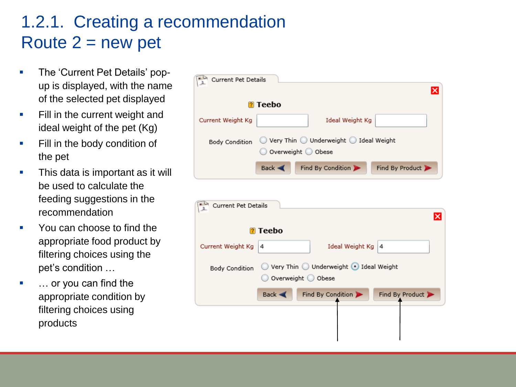#### 1.2.1. Creating a recommendation Route  $2 = new pet$

- The 'Current Pet Details' popup is displayed, with the name of the selected pet displayed
- **Fill in the current weight and** ideal weight of the pet (Kg)
- **Fill in the body condition of** the pet
- This data is important as it will be used to calculate the feeding suggestions in the recommendation
- You can choose to find the appropriate food product by filtering choices using the pet's condition …
- … or you can find the appropriate condition by filtering choices using products

| ×<br><b>7</b> Teebo<br>Current Weight Kg<br>Ideal Weight Kg<br>$\circledcirc$ Very Thin $\circledcirc$ Underweight $\circledcirc$ Ideal Weight<br><b>Body Condition</b><br>Overweight O Obese<br>Find By Condition<br>Find By Product<br>Back <<br>Current Pet Details<br><b>7</b> Teebo<br>Current Weight Kg<br>Ideal Weight Kg<br>4<br>4<br>◯ Very Thin ◯ Underweight ⊙ Ideal Weight<br><b>Body Condition</b><br>Overweight O Obese<br>Find By Product<br>Find By Condition<br>Back $\blacktriangleleft$ | Current Pet Details |  |  |
|------------------------------------------------------------------------------------------------------------------------------------------------------------------------------------------------------------------------------------------------------------------------------------------------------------------------------------------------------------------------------------------------------------------------------------------------------------------------------------------------------------|---------------------|--|--|
|                                                                                                                                                                                                                                                                                                                                                                                                                                                                                                            |                     |  |  |
|                                                                                                                                                                                                                                                                                                                                                                                                                                                                                                            |                     |  |  |
|                                                                                                                                                                                                                                                                                                                                                                                                                                                                                                            |                     |  |  |
|                                                                                                                                                                                                                                                                                                                                                                                                                                                                                                            |                     |  |  |
|                                                                                                                                                                                                                                                                                                                                                                                                                                                                                                            |                     |  |  |
| ×                                                                                                                                                                                                                                                                                                                                                                                                                                                                                                          |                     |  |  |
|                                                                                                                                                                                                                                                                                                                                                                                                                                                                                                            |                     |  |  |
|                                                                                                                                                                                                                                                                                                                                                                                                                                                                                                            |                     |  |  |
|                                                                                                                                                                                                                                                                                                                                                                                                                                                                                                            |                     |  |  |
|                                                                                                                                                                                                                                                                                                                                                                                                                                                                                                            |                     |  |  |
|                                                                                                                                                                                                                                                                                                                                                                                                                                                                                                            |                     |  |  |
|                                                                                                                                                                                                                                                                                                                                                                                                                                                                                                            |                     |  |  |
|                                                                                                                                                                                                                                                                                                                                                                                                                                                                                                            |                     |  |  |
|                                                                                                                                                                                                                                                                                                                                                                                                                                                                                                            |                     |  |  |
|                                                                                                                                                                                                                                                                                                                                                                                                                                                                                                            |                     |  |  |
|                                                                                                                                                                                                                                                                                                                                                                                                                                                                                                            |                     |  |  |
|                                                                                                                                                                                                                                                                                                                                                                                                                                                                                                            |                     |  |  |
|                                                                                                                                                                                                                                                                                                                                                                                                                                                                                                            |                     |  |  |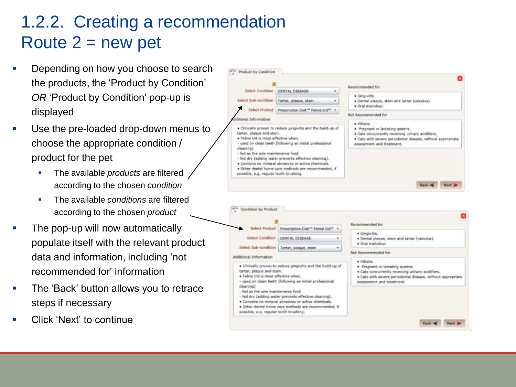#### 1.2.2. Creating a recommendation Route  $2 = new$  pet

- Depending on how you choose to search the products, the 'Product by Condition' *OR* 'Product by Condition' pop-up is displayed
- Use the pre-loaded drop-down menus to choose the appropriate condition / product for the pet
	- The available *products* are filtered according to the chosen *condition*
	- **The available** *conditions* are filtered according to the chosen *product*
- The pop-up will now automatically populate itself with the relevant product data and information, including 'not recommended for' information
- The 'Back' button allows you to retrace steps if necessary
- Click 'Next' to continue

![](_page_15_Figure_8.jpeg)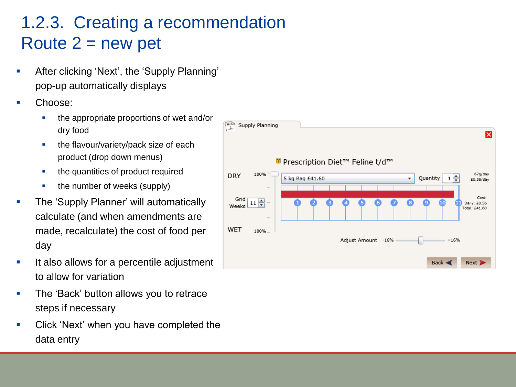#### 1.2.3. Creating a recommendation Route  $2 = new$  pet

- **-** After clicking 'Next', the 'Supply Planning' pop-up automatically displays
- Choose:
	- the appropriate proportions of wet and/or dry food
	- **the flavour/variety/pack size of each** product (drop down menus)
	- the quantities of product required
	- the number of weeks (supply)
- The 'Supply Planner' will automatically calculate (and when amendments are made, recalculate) the cost of food per day
- **If also allows for a percentile adjustment** to allow for variation
- **The 'Back' button allows you to retrace** steps if necessary
- **Click 'Next' when you have completed the** data entry

![](_page_16_Figure_11.jpeg)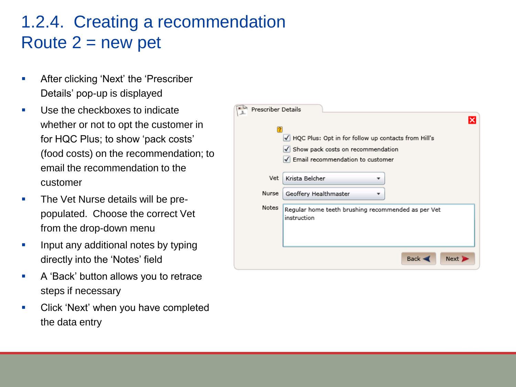#### 1.2.4. Creating a recommendation Route  $2 = new$  pet

- **After clicking 'Next' the 'Prescriber'** Details' pop-up is displayed
- Use the checkboxes to indicate whether or not to opt the customer in for HQC Plus; to show 'pack costs' (food costs) on the recommendation; to email the recommendation to the customer
- **The Vet Nurse details will be pre**populated. Choose the correct Vet from the drop-down menu
- **Input any additional notes by typing** directly into the 'Notes' field
- **A** 'Back' button allows you to retrace steps if necessary
- **EXECLICK 'Next' when you have completed** the data entry

![](_page_17_Picture_7.jpeg)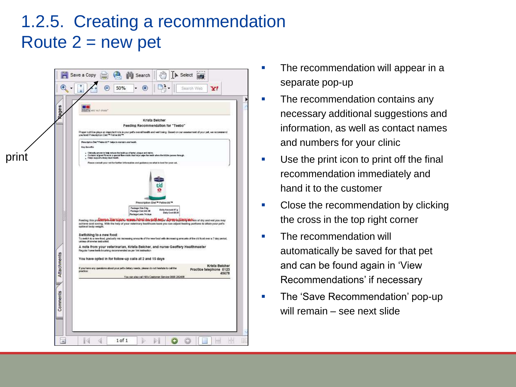#### 1.2.5. Creating a recommendation Route  $2 = new$  pet

| Rages<br>Krista Belcher<br>Feeding Recommendation for "Teebo"<br>Proper nutrition plays an important rate in your pet's overall health and well being. Based on our assessment of your pet, we recommend<br>you feed Prescription Dait <sup>hau</sup> Fefrer Bd <sup>raa</sup> .<br>Prescription Diet <sup>m P</sup> ieline UC <sup>W</sup> heine to maintain oral health.<br><b>Key Genetic</b><br>– Clinically proven to help reduce the building of laster, plaque and states.<br>– Contains aligned flows in a special flore made: that helps wipe the teath when the kittle passes Prough.<br><sub>1</sub> . Helps support afrany tract healt<br>print<br>Please controll your vet for further information and guidance on what is best for your cat.<br>Prescription Diet <sup>76</sup> Feline W3 <sup>18</sup><br>Package Stee Sing<br>Duity Annuncint 57 g<br>Package Cost #41.00<br>Daily Contribute<br>Package Lasts:74 days |                                                    |
|----------------------------------------------------------------------------------------------------------------------------------------------------------------------------------------------------------------------------------------------------------------------------------------------------------------------------------------------------------------------------------------------------------------------------------------------------------------------------------------------------------------------------------------------------------------------------------------------------------------------------------------------------------------------------------------------------------------------------------------------------------------------------------------------------------------------------------------------------------------------------------------------------------------------------------------|----------------------------------------------------|
|                                                                                                                                                                                                                                                                                                                                                                                                                                                                                                                                                                                                                                                                                                                                                                                                                                                                                                                                        |                                                    |
|                                                                                                                                                                                                                                                                                                                                                                                                                                                                                                                                                                                                                                                                                                                                                                                                                                                                                                                                        |                                                    |
|                                                                                                                                                                                                                                                                                                                                                                                                                                                                                                                                                                                                                                                                                                                                                                                                                                                                                                                                        |                                                    |
| Feeding this production of dispensive way we interpress the production of the control of the production and wet you may                                                                                                                                                                                                                                                                                                                                                                                                                                                                                                                                                                                                                                                                                                                                                                                                                |                                                    |
| achieve cost saving. With the help of your veterinary healthcare team you can adjust feeding portions to attain your pet's<br>optimal body weight.<br>Switching to a new food:<br>To switch to a new food, gradually mix increasing announts of the rew food with decreasing amounts of the old food over a 7 day period,<br>unless otherwise instructed.                                                                                                                                                                                                                                                                                                                                                                                                                                                                                                                                                                              |                                                    |
| A note from your veterinarian, Krista Belcher, and nurse Geoffery Healthmaster<br>Regular home teeth brushing recommended as per Vet instruction<br>You have opted in for follow-up calls at 2 and 15 days                                                                                                                                                                                                                                                                                                                                                                                                                                                                                                                                                                                                                                                                                                                             |                                                    |
| Attachments<br>If you have any questions about your pet's distary needs, please do not hesitate to call the<br>practice:<br>You can also call Hill's Customer Service 0800 282438                                                                                                                                                                                                                                                                                                                                                                                                                                                                                                                                                                                                                                                                                                                                                      | Krista Belcher<br>Practice telephone 0123<br>45678 |
| $-29$                                                                                                                                                                                                                                                                                                                                                                                                                                                                                                                                                                                                                                                                                                                                                                                                                                                                                                                                  |                                                    |
| Comments                                                                                                                                                                                                                                                                                                                                                                                                                                                                                                                                                                                                                                                                                                                                                                                                                                                                                                                               |                                                    |

- The recommendation will appear in a separate pop-up
- The recommendation contains any necessary additional suggestions and information, as well as contact names and numbers for your clinic
- Use the print icon to print off the final recommendation immediately and hand it to the customer
- Close the recommendation by clicking the cross in the top right corner
- **The recommendation will** automatically be saved for that pet and can be found again in 'View Recommendations' if necessary
- The 'Save Recommendation' pop-up will remain – see next slide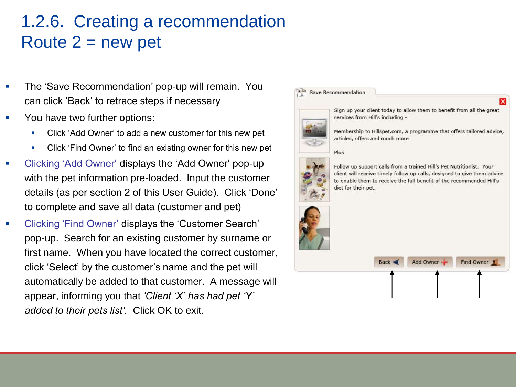#### 1.2.6. Creating a recommendation Route  $2 = new pet$

- The 'Save Recommendation' pop-up will remain. You can click 'Back' to retrace steps if necessary
- You have two further options:
	- Click 'Add Owner' to add a new customer for this new pet
	- Click 'Find Owner' to find an existing owner for this new pet
- Clicking 'Add Owner' displays the 'Add Owner' pop-up with the pet information pre-loaded. Input the customer details (as per section 2 of this User Guide). Click 'Done' to complete and save all data (customer and pet)
- Clicking 'Find Owner' displays the 'Customer Search' pop-up. Search for an existing customer by surname or first name. When you have located the correct customer, click 'Select' by the customer's name and the pet will automatically be added to that customer. A message will appear, informing you that *'Client 'X' has had pet 'Y' added to their pets list'.* Click OK to exit.

![](_page_19_Picture_7.jpeg)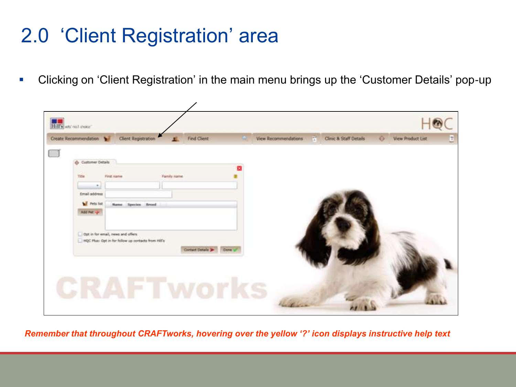# 2.0 'Client Registration' area

Clicking on 'Client Registration' in the main menu brings up the 'Customer Details' pop-up

![](_page_20_Picture_2.jpeg)

*Remember that throughout CRAFTworks, hovering over the yellow '?' icon displays instructive help text*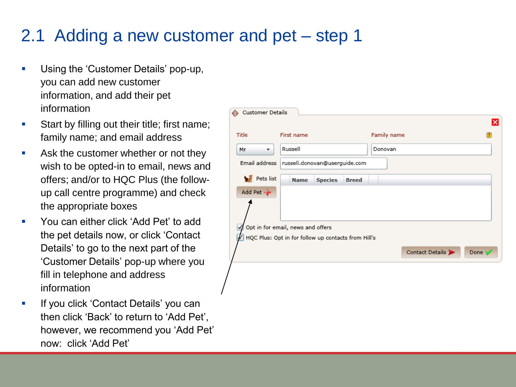#### 2.1 Adding a new customer and pet – step 1

- Using the 'Customer Details' pop-up, you can add new customer information, and add their pet information
- **Start by filling out their title; first name;** family name; and email address
- **Ask the customer whether or not they** wish to be opted-in to email, news and offers; and/or to HQC Plus (the followup call centre programme) and check the appropriate boxes
- You can either click 'Add Pet' to add the pet details now, or click 'Contact Details' to go to the next part of the 'Customer Details' pop-up where you fill in telephone and address information
- If you click 'Contact Details' you can then click 'Back' to return to 'Add Pet', however, we recommend you 'Add Pet' now: click 'Add Pet'

| <b>Customer Details</b>        |                                                     |                 |        |
|--------------------------------|-----------------------------------------------------|-----------------|--------|
|                                |                                                     |                 |        |
| Title                          | First name                                          | Family name     |        |
| Мr<br>$\overline{\phantom{a}}$ | Russell                                             | Donovan         |        |
| Email address                  | russell.donovan@userguide.com                       |                 |        |
| Pets list                      | <b>Breed</b><br><b>Name</b><br><b>Species</b>       |                 |        |
| Add Pet -                      |                                                     |                 |        |
|                                |                                                     |                 |        |
| M                              | Opt in for email, news and offers                   |                 |        |
|                                | HQC Plus: Opt in for follow up contacts from Hill's |                 |        |
|                                |                                                     | Contact Details | Done \ |
|                                |                                                     |                 |        |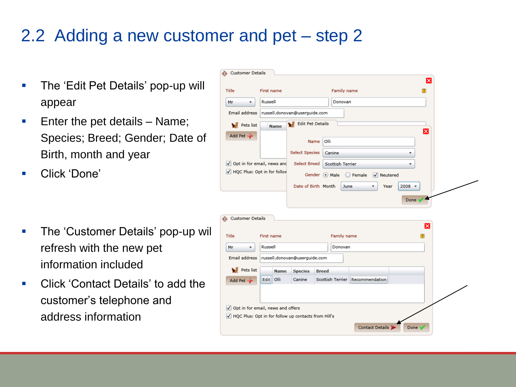#### 2.2 Adding a new customer and pet – step 2

- **The 'Edit Pet Details' pop-up will** appear
- Enter the pet details  $-$  Name; Species; Breed; Gender; Date of Birth, month and year
- Click 'Done'

- **The 'Customer Details' pop-up will** refresh with the new pet information included
- Click 'Contact Details' to add the customer's telephone and address information

|                                     |                            |                               | ×                                             |
|-------------------------------------|----------------------------|-------------------------------|-----------------------------------------------|
| Title                               | First name                 |                               | Family name                                   |
| Mr<br>▼                             | Russell                    |                               | Donovan                                       |
| Email address                       |                            | russell.donovan@userquide.com |                                               |
| Pets list                           | <b>Name</b>                | <b>Edit Pet Details</b><br>w  |                                               |
| Add Pet                             |                            |                               | $\overline{\mathsf{x}}$                       |
|                                     |                            | Name                          | Olli                                          |
|                                     |                            | <b>Select Species</b>         | Canine<br>$\overline{\mathbf{v}}$             |
| ✓                                   | Opt in for email, news and | <b>Select Breed</b>           | Scottish Terrier<br>$\overline{\mathbf{v}}$   |
| √ HQC Plus: Opt in for follov       |                            |                               | Gender Male<br>◯ Female<br>$\sqrt{}$ Neutered |
|                                     |                            | Date of Birth Month           | June<br>$2008$ $*$<br>Year                    |
|                                     |                            |                               |                                               |
|                                     |                            |                               |                                               |
|                                     |                            |                               | Done V                                        |
|                                     |                            |                               |                                               |
|                                     |                            |                               |                                               |
| <b>Customer Details</b>             |                            |                               |                                               |
|                                     | First name                 |                               | ×                                             |
| Title                               |                            |                               | Family name                                   |
| Мr<br>v.                            | Russell                    |                               | Donovan                                       |
| Email address                       |                            | russell.donovan@userguide.com |                                               |
| Pets list<br>w                      | <b>Name</b>                | <b>Species</b>                | <b>Breed</b>                                  |
|                                     | Olli<br>Edit               | Canine                        | Scottish Terrier Recommendation               |
| Add Pet                             |                            |                               |                                               |
|                                     |                            |                               |                                               |
| √ Opt in for email, news and offers |                            |                               |                                               |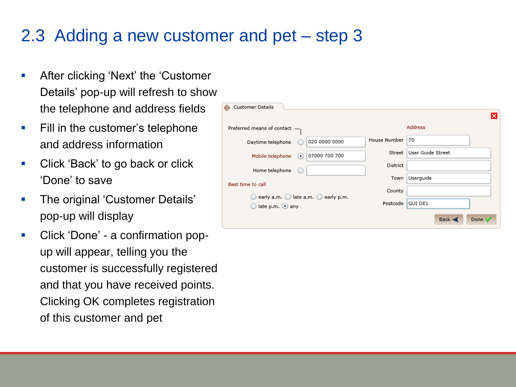#### 2.3 Adding a new customer and pet – step 3

- **After clicking 'Next' the 'Customer'** Details' pop-up will refresh to show the telephone and address fields
- **Fill in the customer's telephone** and address information
- **Click 'Back' to go back or click** 'Done' to save
- The original 'Customer Details' pop-up will display
- Click 'Done' a confirmation popup will appear, telling you the customer is successfully registered and that you have received points. Clicking OK completes registration of this customer and pet

| Customer Details             |                                           |                 |                   |   |
|------------------------------|-------------------------------------------|-----------------|-------------------|---|
|                              |                                           |                 |                   | × |
| Preferred means of contact - |                                           |                 | <b>Address</b>    |   |
| Daytime telephone            | 020 0000 0000                             | House Number    | 70                |   |
| Mobile telephone             | 07000 700 700<br>$\left( \bullet \right)$ | Street          | User Guide Street |   |
| Home telephone               |                                           | <b>District</b> |                   |   |
| Best time to call            |                                           | Town            | Userguide         |   |
|                              |                                           | County          |                   |   |
|                              | early a.m. I late a.m. early p.m.         |                 |                   |   |
| late p.m. any                |                                           | Postcode        | <b>GUI DE1</b>    |   |
|                              |                                           |                 | Back <<br>Done \  |   |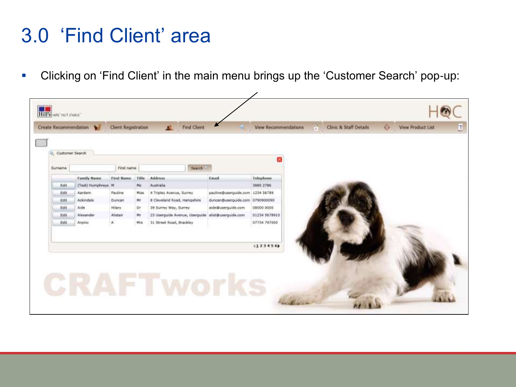### 3.0 'Find Client' area

Clicking on 'Find Client' in the main menu brings up the 'Customer Search' pop-up:

|        | Customer Search    |                |       |                                |                                  | ×             |  |  |
|--------|--------------------|----------------|-------|--------------------------------|----------------------------------|---------------|--|--|
| Sumame |                    | First name     |       | Search                         |                                  |               |  |  |
|        | <b>Eamily Name</b> | First Name     | Title | <b>Address</b>                 | Email                            | Telephone     |  |  |
| Edit   | (Test) Humphreys M |                | Mit   | Australia                      |                                  | 3885 2786     |  |  |
| Edit.  | Aardem             | <b>Pauline</b> | Miss  | 4 Tripley Avenue, Surrey       | pauline@userguide.com 1234 56789 |               |  |  |
| Edit   | Ackindale          | Duncan         | Mr    | 8 Cleveland Road, Hampshire    | duncan@userguide.com 0790900090  |               |  |  |
| Edit   | Aide               | Hilary.        | Dr    | 39 Surrey Way, Surrey          | aide@userguide.com               | 08000.0000    |  |  |
| Edit   | Alexander          | Alistair       | Mr    | 23 Userguide Avenue, Userguide | moo, ebiugnezuide, aliată        | 01234 5678910 |  |  |
| Edit   | Arpino             | K.             | Mrs   | 31 Street Road, Brackley       |                                  | 07734 797000  |  |  |
|        |                    |                |       |                                |                                  |               |  |  |
|        |                    |                |       |                                |                                  |               |  |  |
|        |                    |                |       |                                |                                  | (123456)      |  |  |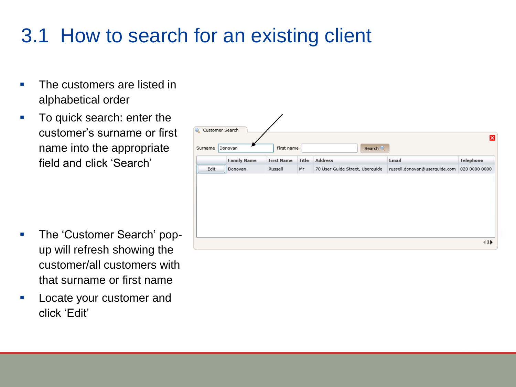# 3.1 How to search for an existing client

- The customers are listed in alphabetical order
- **To quick search: enter the** customer's surname or first name into the appropriate field and click 'Search'

- The 'Customer Search' popup will refresh showing the customer/all customers with that surname or first name
- Locate your customer and click 'Edit'

![](_page_25_Picture_5.jpeg)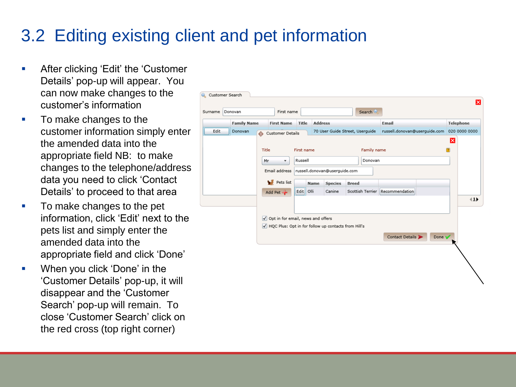#### 3.2 Editing existing client and pet information

- **EXECUTE:** After clicking 'Edit' the 'Customer Details' pop-up will appear. You can now make changes to the customer's information
- To make changes to the customer information simply enter the amended data into the appropriate field NB: to make changes to the telephone/address data you need to click 'Contact Details' to proceed to that area
- To make changes to the pet information, click 'Edit' next to the pets list and simply enter the amended data into the appropriate field and click 'Done'
- **•** When you click 'Done' in the 'Customer Details' pop-up, it will disappear and the 'Customer Search' pop-up will remain. To close 'Customer Search' click on the red cross (top right corner)

| <b>Family Name</b><br><b>Address</b><br>Email<br><b>Telephone</b><br><b>Title</b><br><b>First Name</b><br>Edit<br>70 User Guide Street, Userguide<br>russell.donovan@userguide.com<br>020 0000 0000<br>Donovan<br>$\bullet$<br>Customer Details<br>×<br>Title<br>First name<br>Family name<br>12<br>Russell<br>Donovan<br>Mr<br>$\overline{\mathbf v}$<br>russell.donovan@userguide.com<br>Email address<br>Pets list<br>Name<br><b>Species</b><br><b>Breed</b><br>Scottish Terrier Recommendation<br>Edit Olli<br>Canine<br>Add Pet -<br>√ Opt in for email, news and offers<br>HQC Plus: Opt in for follow up contacts from Hill's<br>Contact Details<br>Done V | urname | Donovan | First name |  |  | Search |  |     |
|-------------------------------------------------------------------------------------------------------------------------------------------------------------------------------------------------------------------------------------------------------------------------------------------------------------------------------------------------------------------------------------------------------------------------------------------------------------------------------------------------------------------------------------------------------------------------------------------------------------------------------------------------------------------|--------|---------|------------|--|--|--------|--|-----|
|                                                                                                                                                                                                                                                                                                                                                                                                                                                                                                                                                                                                                                                                   |        |         |            |  |  |        |  |     |
|                                                                                                                                                                                                                                                                                                                                                                                                                                                                                                                                                                                                                                                                   |        |         |            |  |  |        |  |     |
|                                                                                                                                                                                                                                                                                                                                                                                                                                                                                                                                                                                                                                                                   |        |         |            |  |  |        |  |     |
|                                                                                                                                                                                                                                                                                                                                                                                                                                                                                                                                                                                                                                                                   |        |         |            |  |  |        |  |     |
|                                                                                                                                                                                                                                                                                                                                                                                                                                                                                                                                                                                                                                                                   |        |         |            |  |  |        |  |     |
|                                                                                                                                                                                                                                                                                                                                                                                                                                                                                                                                                                                                                                                                   |        |         |            |  |  |        |  |     |
|                                                                                                                                                                                                                                                                                                                                                                                                                                                                                                                                                                                                                                                                   |        |         |            |  |  |        |  |     |
|                                                                                                                                                                                                                                                                                                                                                                                                                                                                                                                                                                                                                                                                   |        |         |            |  |  |        |  | 41) |
|                                                                                                                                                                                                                                                                                                                                                                                                                                                                                                                                                                                                                                                                   |        |         |            |  |  |        |  |     |
|                                                                                                                                                                                                                                                                                                                                                                                                                                                                                                                                                                                                                                                                   |        |         |            |  |  |        |  |     |
|                                                                                                                                                                                                                                                                                                                                                                                                                                                                                                                                                                                                                                                                   |        |         |            |  |  |        |  |     |
|                                                                                                                                                                                                                                                                                                                                                                                                                                                                                                                                                                                                                                                                   |        |         |            |  |  |        |  |     |
|                                                                                                                                                                                                                                                                                                                                                                                                                                                                                                                                                                                                                                                                   |        |         |            |  |  |        |  |     |
|                                                                                                                                                                                                                                                                                                                                                                                                                                                                                                                                                                                                                                                                   |        |         |            |  |  |        |  |     |
|                                                                                                                                                                                                                                                                                                                                                                                                                                                                                                                                                                                                                                                                   |        |         |            |  |  |        |  |     |
|                                                                                                                                                                                                                                                                                                                                                                                                                                                                                                                                                                                                                                                                   |        |         |            |  |  |        |  |     |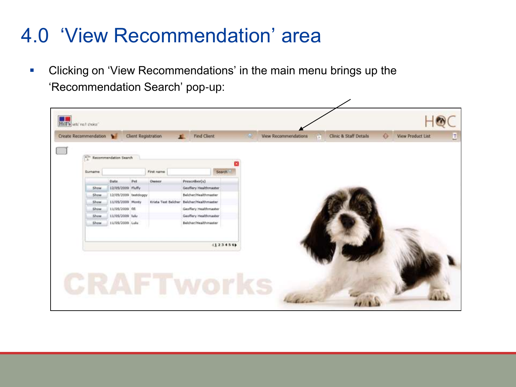### 4.0 'View Recommendation' area

**-** Clicking on 'View Recommendations' in the main menu brings up the 'Recommendation Search' pop-up:

|             | $\frac{e^{2i\pi}}{\hbar}$ Recommendation Search |     |                                          |                                        |               |  |  |  |
|-------------|-------------------------------------------------|-----|------------------------------------------|----------------------------------------|---------------|--|--|--|
| Sumame      |                                                 |     | First name                               |                                        | <b>Bearch</b> |  |  |  |
|             |                                                 |     |                                          |                                        |               |  |  |  |
| Show        | Date:<br>12/05/2009 Pluffy                      | Pet | Owner:                                   | Prescriber(s)<br>Geoffery Healthmaster |               |  |  |  |
| Show        | 12/05/2009 textdoggy                            |     |                                          | Beicher/Healthmatter                   |               |  |  |  |
| Show        | 11/05/2009 Monty                                |     | Krista Text Belcher Belcher/Healthmaster |                                        |               |  |  |  |
| Show.       | 11/05/2009 fifi                                 |     |                                          | Geoffery Healthmaster                  |               |  |  |  |
| Show.       | 11/05/2009 luke                                 |     |                                          | Geoffery Healthmaster                  |               |  |  |  |
| <b>Show</b> | 11/05/2009 Lulu                                 |     |                                          | Belchar/Healthmaster                   |               |  |  |  |
|             |                                                 |     |                                          |                                        |               |  |  |  |
|             |                                                 |     |                                          |                                        |               |  |  |  |
|             |                                                 |     |                                          |                                        | 123456        |  |  |  |
|             |                                                 |     |                                          |                                        |               |  |  |  |

╱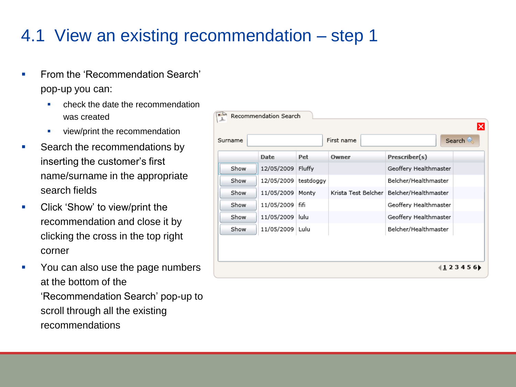#### 4.1 View an existing recommendation – step 1

- **From the 'Recommendation Search'** pop-up you can:
	- check the date the recommendation was created
	- view/print the recommendation
- Search the recommendations by inserting the customer's first name/surname in the appropriate search fields
- **Click 'Show' to view/print the** recommendation and close it by clicking the cross in the top right corner
- You can also use the page numbers at the bottom of the 'Recommendation Search' pop-up to scroll through all the existing recommendations

|         | Recommendation Search  |        |                     |                       |   |
|---------|------------------------|--------|---------------------|-----------------------|---|
| Surname |                        |        | First name          | Search                | × |
|         | Date                   | Pet    | Owner               | Prescriber(s)         |   |
| Show    | 12/05/2009             | Fluffy |                     | Geoffery Healthmaster |   |
| Show    | 12/05/2009   testdoggy |        |                     | Belcher/Healthmaster  |   |
| Show    | 11/05/2009 Monty       |        | Krista Test Belcher | Belcher/Healthmaster  |   |
| Show    | 11/05/2009 fifi        |        |                     | Geoffery Healthmaster |   |
| Show    | 11/05/2009 lulu        |        |                     | Geoffery Healthmaster |   |
| Show    | 11/05/2009 Lulu        |        |                     | Belcher/Healthmaster  |   |
|         |                        |        |                     |                       |   |
|         |                        |        |                     |                       |   |
|         |                        |        |                     | 12345                 |   |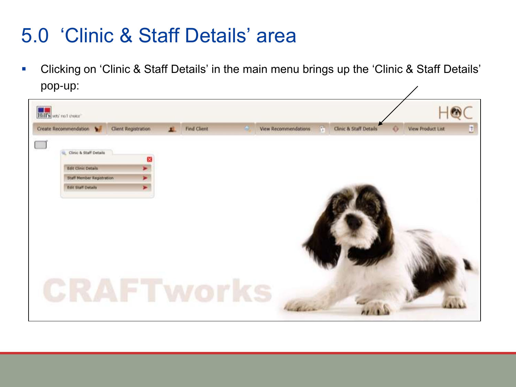### 5.0 'Clinic & Staff Details' area

 Clicking on 'Clinic & Staff Details' in the main menu brings up the 'Clinic & Staff Details' pop-up:

![](_page_29_Picture_2.jpeg)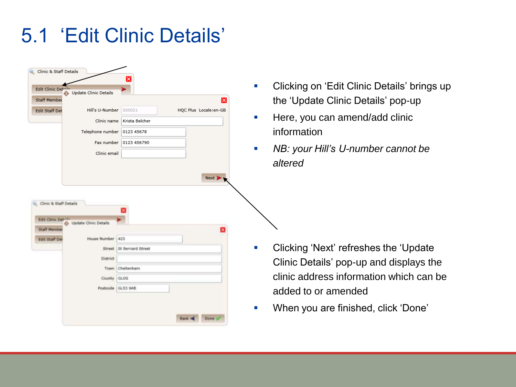### 5.1 'Edit Clinic Details'

| Clinic & Staff Details<br>Edit Clinic Detail<br>Update Clinic Details<br>Staff Member<br><b>Edit Staff Det</b><br>Hill's U-Number<br>Clinic name<br>Telephone number   0123 45678<br>Fax number<br>Clinic email | $\overline{\mathsf{x}}$<br>500021<br>HQC Plus Locale:en-GB<br>Krista Belcher<br>0123 456790<br>Next | Clicking on 'Edit Clinic Details' brings up<br>m.<br>the 'Update Clinic Details' pop-up<br>Here, you can amend/add clinic<br>information<br>NB: your Hill's U-number cannot be<br>altered                   |
|-----------------------------------------------------------------------------------------------------------------------------------------------------------------------------------------------------------------|-----------------------------------------------------------------------------------------------------|-------------------------------------------------------------------------------------------------------------------------------------------------------------------------------------------------------------|
| Clinic & Staff Details<br>Edit Clinic Det-5<br>& Update Clinic Details<br><b>Staff Membi</b><br>House Number 423<br><b>Edit Staff De</b><br>Street<br>Dratrict<br>Town<br>County GLOS<br>Postcode GL53 9AB      | St Bernard Street<br>Cheltenham                                                                     | Clicking 'Next' refreshes the 'Update<br><b>College</b><br>Clinic Details' pop-up and displays the<br>clinic address information which can be<br>added to or amended<br>When you are finished, click 'Done' |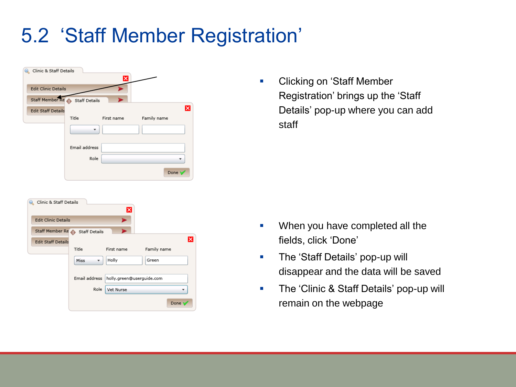# 5.2 'Staff Member Registration'

| Clinic & Staff Details        |               | ×          |             |
|-------------------------------|---------------|------------|-------------|
| <b>Edit Clinic Details</b>    |               |            |             |
| Staff Member Re Staff Details |               |            |             |
| <b>Edit Staff Details</b>     |               |            | ×           |
|                               | Title         | First name | Family name |
|                               |               |            |             |
|                               | Email address |            |             |
|                               | Role          |            |             |
|                               |               |            | Done '      |

| Clinic & Staff Details     |                               | ×          |                           |  |
|----------------------------|-------------------------------|------------|---------------------------|--|
| <b>Edit Clinic Details</b> |                               | ۰          |                           |  |
|                            | Staff Member Re Staff Details |            |                           |  |
| <b>Edit Staff Details</b>  |                               |            | ×                         |  |
|                            | Title                         | First name | Family name               |  |
|                            | Miss                          | Holly      | Green                     |  |
|                            | Email address                 |            | holly.green@userguide.com |  |
|                            | Role                          | Vet Nurse  |                           |  |
|                            |                               |            | Done                      |  |

**-** Clicking on 'Staff Member Registration' brings up the 'Staff Details' pop-up where you can add staff

- **When you have completed all the** fields, click 'Done'
- **The 'Staff Details' pop-up will** disappear and the data will be saved
- **The 'Clinic & Staff Details' pop-up will** remain on the webpage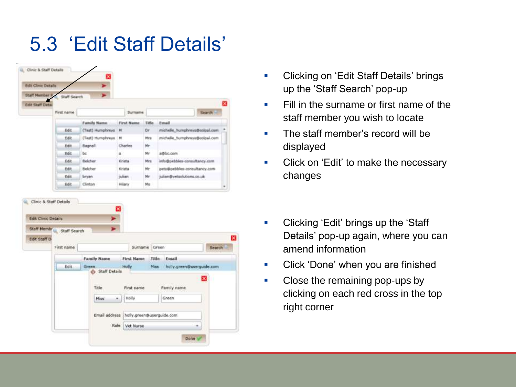# 5.3 'Edit Staff Details'

| <b>Edit Clinic Details</b>                           |                           |                         |                   |              |                               |         |   |
|------------------------------------------------------|---------------------------|-------------------------|-------------------|--------------|-------------------------------|---------|---|
| <b>Staff Member 9</b>                                | Staff Search              |                         |                   |              |                               |         |   |
| <b>Edit Staff Deta</b>                               |                           |                         |                   |              |                               |         | x |
|                                                      | First name                |                         | <b>Sumarne</b>    |              |                               | Search! |   |
|                                                      |                           | <b>Family Name</b>      | First Name        | <b>Title</b> | Email                         |         |   |
|                                                      | Edit                      | (Tast) Humphreys Ht     |                   | Dr           | michelie humphreys@ccipal.com |         |   |
|                                                      | Edit                      | (Test) Humphreys        | н                 | Mira         | michelle humphreye@colpal.com |         |   |
|                                                      | Edit                      | Bagnall                 | Charles           | Mr.          |                               |         |   |
|                                                      | <b>Bdit</b>               | bc                      | a                 | Mr           | a@bc.com                      |         |   |
|                                                      | 封政                        | Belcher                 | Krista            | Mrs          | info@pebbles-consultancy.com  |         |   |
|                                                      | 断线                        | Belcher                 | Kirisha           | Hr           | ents@pebbles-consultancy.com  |         |   |
|                                                      | Edit                      | bryan.                  | julian.           | Mr           | julian@vetsolutions.co.uk     |         |   |
|                                                      |                           |                         |                   |              |                               |         |   |
| Clinic & Staff Details<br><b>Edit Clinic Details</b> | Edit.                     | Clinton                 | Hilary            | Ms           |                               |         |   |
|                                                      | Staff Membre Staff Search |                         |                   |              |                               |         |   |
| <b>Lot Staff D</b>                                   | First name                |                         | Surname           |              | Green.                        | Search  |   |
|                                                      |                           |                         |                   |              |                               |         |   |
|                                                      |                           | Family Name             | <b>First Name</b> |              | Title:<br>Ensail<br>Miss.     |         |   |
|                                                      | Edit                      | Green.<br>Staff Details | Holly             |              | holly.green@userguide.com     |         |   |
|                                                      |                           |                         |                   |              |                               |         |   |
|                                                      |                           | Title                   | First name        |              | Family name                   |         |   |
|                                                      |                           | Miss                    | Holly<br>٠        |              | Green                         |         |   |
|                                                      |                           | Email address           |                   |              | holly.green@userguide.com     |         |   |

- **Clicking on 'Edit Staff Details' brings** up the 'Staff Search' pop-up
- **Fill in the surname or first name of the** staff member you wish to locate
- The staff member's record will be displayed
- Click on 'Edit' to make the necessary changes
- **•** Clicking 'Edit' brings up the 'Staff' Details' pop-up again, where you can amend information
- **•** Click 'Done' when you are finished
- Close the remaining pop-ups by clicking on each red cross in the top right corner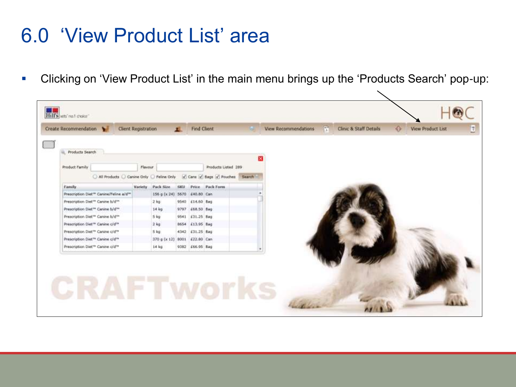### 6.0 'View Product List' area

Clicking on 'View Product List' in the main menu brings up the 'Products Search' pop-up:

╲

| <b>Create Recommendation</b><br><b>STAR</b>                                 | Client Registration |                              |      | Find Chent      |                     |  |   | View Recommendations | $f_{\rm H}$ | Clinic & Staff Details | $\bullet$ | <b>View Product List</b> |
|-----------------------------------------------------------------------------|---------------------|------------------------------|------|-----------------|---------------------|--|---|----------------------|-------------|------------------------|-----------|--------------------------|
|                                                                             |                     |                              |      |                 |                     |  |   |                      |             |                        |           |                          |
| <b>Products Search</b>                                                      |                     |                              |      |                 |                     |  |   |                      |             |                        |           |                          |
|                                                                             |                     |                              |      |                 |                     |  | × |                      |             |                        |           |                          |
| Product Family                                                              | Flavour             |                              |      |                 | Products Listed 289 |  |   |                      |             |                        |           |                          |
| All Products C Canine Only C Feline Only Cant Cant C Bags of Pouches Search |                     |                              |      |                 |                     |  |   |                      |             |                        |           |                          |
| Family                                                                      | <b>Variety</b>      | Pack Size                    | SKU. |                 | Price Pack Form     |  |   |                      |             |                        |           |                          |
| Prescription Diet** Carine/Feline a/d**                                     |                     | 156 g (x 24) 5670 £40.80 Can |      |                 |                     |  |   |                      |             |                        |           |                          |
| Prescription Diet <sup>11</sup> Canine b/d <sup>111</sup>                   |                     | $2$ kg                       | 9540 | £14.60 Bag      |                     |  |   |                      |             |                        |           |                          |
| Prescription Diet <sup>114</sup> Carine b/d <sup>144</sup>                  |                     | 14 <sub>kg</sub>             | 9797 | £68.50 Bag      |                     |  |   |                      |             |                        |           |                          |
| Prescription Diet <sup>re</sup> Canine b/d <sup>se</sup>                    |                     | $5$ kg                       | 9541 | £31.25 Bag      |                     |  |   |                      |             |                        |           |                          |
| Prescription Diet <sup>re</sup> Carine c/d <sup>ra</sup>                    |                     | $2$ kg                       | 8654 | £13.95 Bag      |                     |  |   |                      |             |                        |           |                          |
| Prescription Diet <sup>re</sup> Carine c/d <sup>re</sup>                    |                     | 5 k <sub>0</sub>             | 4342 | £31.25 Bag      |                     |  |   |                      |             |                        |           |                          |
| Prescription Diet <sup>re</sup> Canine c/d <sup>re</sup>                    |                     | 370 g (x 12)                 | 8001 | £22.80 Can      |                     |  |   |                      |             |                        |           |                          |
| Prescription Diet <sup>ra</sup> Canine c/d <sup>ra</sup>                    |                     | $14$ kg                      |      | 9382 £66.95 Bag |                     |  |   |                      |             |                        |           |                          |
|                                                                             |                     |                              |      |                 |                     |  |   |                      |             |                        |           |                          |
|                                                                             |                     |                              |      |                 |                     |  |   |                      |             |                        |           |                          |
|                                                                             |                     |                              |      |                 |                     |  |   |                      |             |                        |           |                          |
|                                                                             |                     |                              |      |                 |                     |  |   |                      |             |                        |           |                          |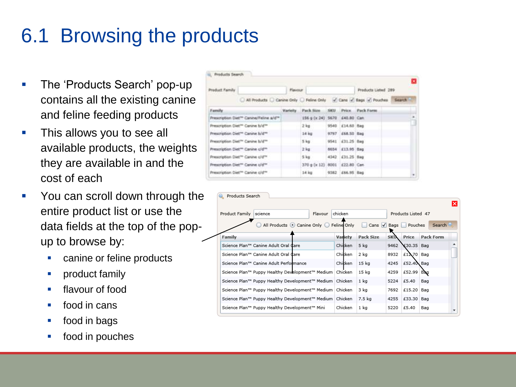# 6.1 Browsing the products

- **The 'Products Search' pop-up** contains all the existing canine and feline feeding products
- **This allows you to see all** available products, the weights they are available in and the cost of each
- You can scroll down through the entire product list or use the data fields at the top of the popup to browse by:
	- **Canine or feline products**
	- **•** product family
	- **flavour of food**
	- **food in cans**
	- **food in bags**
	- food in pouches

| Product Family |                                                                           | <b>Flavour</b>                |                               |                  | Products Listed 289 | B |
|----------------|---------------------------------------------------------------------------|-------------------------------|-------------------------------|------------------|---------------------|---|
|                | All Products C Canine Only C Feline Only ( Cans of Bags of Pouches Search |                               |                               |                  |                     |   |
| Family.        |                                                                           | <b><i><u>Marielly</u></i></b> | Pack Size                     |                  | SKU Price Pack Form |   |
|                | Prescription Diet <sup>ro</sup> Canine/Feline a/d <sup>ust</sup>          |                               | 156 g (x 24) 5670 £40.80 Can. |                  |                     |   |
|                | Prescription Diet <sup>on</sup> Canina k/d <sup>on</sup>                  |                               | $2 \text{ kg}$                | 9540 £14.60 flag |                     |   |
|                | Prescription Diet <sup>er</sup> Canine Is/6 <sup>re</sup>                 |                               | 14 <sub>kg</sub>              | 9797 (68.50 Bag  |                     |   |
|                | Prescription Diet <sup>ra</sup> Canine t/d <sup>re-</sup>                 |                               | 5 <sub>kg</sub>               | 9541 431-25 flog |                     |   |
|                | Prescription Diet <sup>ro</sup> Canine c/d <sup>on</sup>                  |                               | $2 \log$                      | 5654 £13.95 Bag  |                     |   |
|                | Prescription Diet <sup>ro</sup> Canine c/d <sup>re</sup>                  |                               | 5kg                           | 4342 £31.25 Bag  |                     |   |
|                | Prescription Diet <sup>en</sup> Canine c/d <sup>ro</sup>                  |                               | 370 g (x 12) 8001             | £22.80 Can       |                     |   |
|                | Prescription Diet <sup>en</sup> Canine c/d <sup>re-</sup>                 |                               | 14 kg                         | 9382 £66.95 Bag  |                     | ٠ |

|                |                                                           |         |         |                         |            |                    |                        | lx |
|----------------|-----------------------------------------------------------|---------|---------|-------------------------|------------|--------------------|------------------------|----|
| Product Family | science                                                   | Flavour | chicken |                         |            | Products Listed 47 |                        |    |
|                | All Products © Canine Only © Feline Only                  |         |         | □ Cans √ Bags D Pouches |            |                    | Search                 |    |
| Family         |                                                           |         | Variety | <b>Pack Size</b>        | <b>SKU</b> |                    | <b>Price Pack Form</b> |    |
|                | Science Plan™ Canine Adult Oral Care                      |         | Chicken | 5 kg                    | 9462       | ¥30.35 Bag         |                        |    |
|                | Science Plan™ Canine Adult Oral Care                      |         | Chicken | 2 ka                    | 8932       | £12.70 Bag         |                        |    |
|                | Science Plan™ Canine Adult Performance                    |         | Chicken | 15 kg                   | 4245       | £52.40\ Bag        |                        |    |
|                | Science Plan™ Puppy Healthy Development™ Medium           |         | Chicken | 15 kg                   | 4259       | £52.99             | Bag                    |    |
|                | Science Plan™ Puppy Healthy Development™ Medium   Chicken |         |         | 1 kg                    | 5224       | £5.40              | Bag                    |    |
|                | Science Plan™ Puppy Healthy Development™ Medium   Chicken |         |         | 3 kg                    | 7692       | £15.20             | Bag                    |    |
|                | Science Plan™ Puppy Healthy Development™ Medium   Chicken |         |         | 7.5 kg                  | 4255       | £33.30             | Bag                    |    |
|                | Science Plan™ Puppy Healthy Development™ Mini             |         | Chicken | 1 kg                    | 5220       | £5.40              | Bag                    |    |